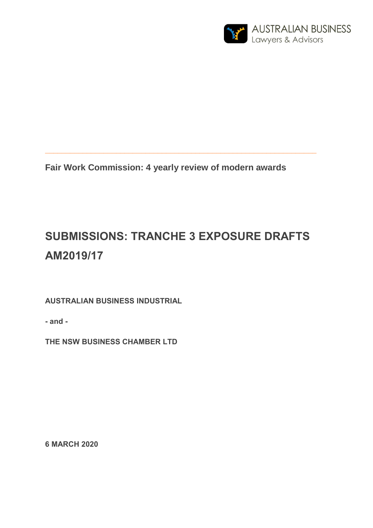

**Fair Work Commission: 4 yearly review of modern awards**

**\_\_\_\_\_\_\_\_\_\_\_\_\_\_\_\_\_\_\_\_\_\_\_\_\_\_\_\_\_\_\_\_\_\_\_\_\_\_\_\_\_\_\_\_\_\_\_\_\_\_\_\_\_\_\_\_\_\_\_\_\_\_\_\_\_**

# **SUBMISSIONS: TRANCHE 3 EXPOSURE DRAFTS AM2019/17**

**AUSTRALIAN BUSINESS INDUSTRIAL** 

**- and -**

**THE NSW BUSINESS CHAMBER LTD**

**6 MARCH 2020**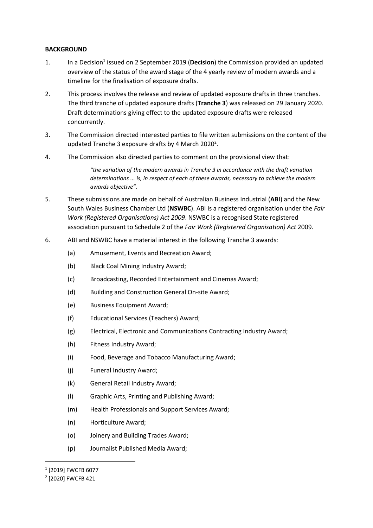# **BACKGROUND**

- 1. In a Decision<sup>1</sup> issued on 2 September 2019 (**Decision**) the Commission provided an updated overview of the status of the award stage of the 4 yearly review of modern awards and a timeline for the finalisation of exposure drafts.
- 2. This process involves the release and review of updated exposure drafts in three tranches. The third tranche of updated exposure drafts (**Tranche 3**) was released on 29 January 2020. Draft determinations giving effect to the updated exposure drafts were released concurrently.
- 3. The Commission directed interested parties to file written submissions on the content of the updated Tranche 3 exposure drafts by 4 March 2020<sup>2</sup>.
- 4. The Commission also directed parties to comment on the provisional view that:

*"the variation of the modern awards in Tranche 3 in accordance with the draft variation determinations ... is, in respect of each of these awards, necessary to achieve the modern awards objective".*

- 5. These submissions are made on behalf of Australian Business Industrial (**ABI**) and the New South Wales Business Chamber Ltd (**NSWBC**). ABI is a registered organisation under the *Fair Work (Registered Organisations) Act 2009*. NSWBC is a recognised State registered association pursuant to Schedule 2 of the *Fair Work (Registered Organisation) Act* 2009.
- <span id="page-1-0"></span>6. ABI and NSWBC have a material interest in the following Tranche 3 awards:
	- (a) Amusement, Events and Recreation Award;
	- (b) Black Coal Mining Industry Award;
	- (c) Broadcasting, Recorded Entertainment and Cinemas Award;
	- (d) Building and Construction General On-site Award;
	- (e) Business Equipment Award;
	- (f) Educational Services (Teachers) Award;
	- (g) Electrical, Electronic and Communications Contracting Industry Award;
	- (h) Fitness Industry Award;
	- (i) Food, Beverage and Tobacco Manufacturing Award;
	- (j) Funeral Industry Award;
	- (k) General Retail Industry Award;
	- (l) Graphic Arts, Printing and Publishing Award;
	- (m) Health Professionals and Support Services Award;
	- (n) Horticulture Award;
	- (o) Joinery and Building Trades Award;
	- (p) Journalist Published Media Award;

**.** 

<sup>1</sup> [2019] FWCFB 6077

<sup>2</sup> [2020] FWCFB 421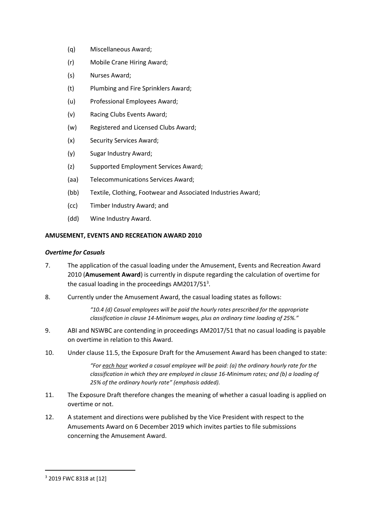- (q) Miscellaneous Award;
- (r) Mobile Crane Hiring Award;
- (s) Nurses Award;
- (t) Plumbing and Fire Sprinklers Award;
- (u) Professional Employees Award;
- (v) Racing Clubs Events Award;
- (w) Registered and Licensed Clubs Award;
- (x) Security Services Award;
- (y) Sugar Industry Award;
- (z) Supported Employment Services Award;
- (aa) Telecommunications Services Award;
- (bb) Textile, Clothing, Footwear and Associated Industries Award;
- (cc) Timber Industry Award; and
- (dd) Wine Industry Award.

# **AMUSEMENT, EVENTS AND RECREATION AWARD 2010**

# *Overtime for Casuals*

- 7. The application of the casual loading under the Amusement, Events and Recreation Award 2010 (**Amusement Award**) is currently in dispute regarding the calculation of overtime for the casual loading in the proceedings AM2017/51<sup>3</sup>.
- 8. Currently under the Amusement Award, the casual loading states as follows:

*"10.4 (d) Casual employees will be paid the hourly rates prescribed for the appropriate classification in clause 14-Minimum wages, plus an ordinary time loading of 25%."*

- 9. ABI and NSWBC are contending in proceedings AM2017/51 that no casual loading is payable on overtime in relation to this Award.
- 10. Under clause 11.5, the Exposure Draft for the Amusement Award has been changed to state:

*"For each hour worked a casual employee will be paid: (a) the ordinary hourly rate for the classification in which they are employed in clause 16-Minimum rates; and (b) a loading of 25% of the ordinary hourly rate" (emphasis added).*

- 11. The Exposure Draft therefore changes the meaning of whether a casual loading is applied on overtime or not.
- 12. A statement and directions were published by the Vice President with respect to the Amusements Award on 6 December 2019 which invites parties to file submissions concerning the Amusement Award.

-

<sup>3</sup> 2019 FWC 8318 at [12]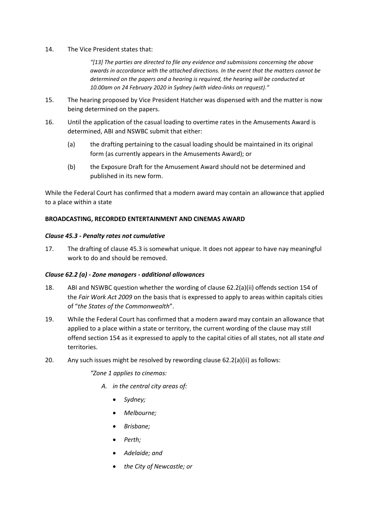14. The Vice President states that:

*"[13] The parties are directed to file any evidence and submissions concerning the above awards in accordance with the attached directions. In the event that the matters cannot be determined on the papers and a hearing is required, the hearing will be conducted at 10.00am on 24 February 2020 in Sydney (with video-links on request)."*

- 15. The hearing proposed by Vice President Hatcher was dispensed with and the matter is now being determined on the papers.
- 16. Until the application of the casual loading to overtime rates in the Amusements Award is determined, ABI and NSWBC submit that either:
	- (a) the drafting pertaining to the casual loading should be maintained in its original form (as currently appears in the Amusements Award); or
	- (b) the Exposure Draft for the Amusement Award should not be determined and published in its new form.

While the Federal Court has confirmed that a modern award may contain an allowance that applied to a place within a state

# **BROADCASTING, RECORDED ENTERTAINMENT AND CINEMAS AWARD**

# *Clause 45.3 - Penalty rates not cumulative*

17. The drafting of clause 45.3 is somewhat unique. It does not appear to have nay meaningful work to do and should be removed.

# *Clause 62.2 (a) - Zone managers - additional allowances*

- 18. ABI and NSWBC question whether the wording of clause 62.2(a)(ii) offends section 154 of the *Fair Work Act 2009* on the basis that is expressed to apply to areas within capitals cities of "*the States of the Commonwealth*".
- 19. While the Federal Court has confirmed that a modern award may contain an allowance that applied to a place within a state or territory, the current wording of the clause may still offend section 154 as it expressed to apply to the capital cities of all states, not all state *and* territories.
- 20. Any such issues might be resolved by rewording clause 62.2(a)(ii) as follows:

*"Zone 1 applies to cinemas:*

- *A. in the central city areas of:*
	- *Sydney;*
	- *Melbourne;*
	- *Brisbane;*
	- *Perth;*
	- *Adelaide; and*
	- *the City of Newcastle; or*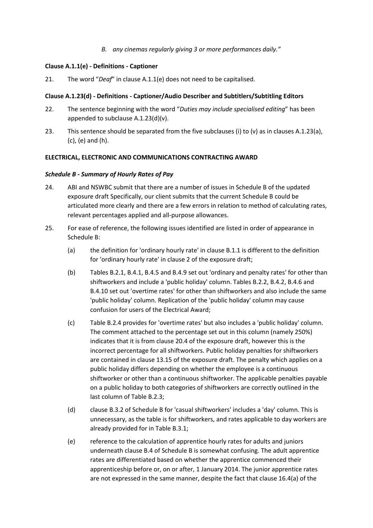*B. any cinemas regularly giving 3 or more performances daily."*

# **Clause A.1.1(e) - Definitions - Captioner**

21. The word "*Deaf*" in clause A.1.1(e) does not need to be capitalised.

# **Clause A.1.23(d) - Definitions - Captioner/Audio Describer and Subtitlers/Subtitling Editors**

- 22. The sentence beginning with the word "*Duties may include specialised editing*" has been appended to subclause  $A.1.23(d)(v)$ .
- 23. This sentence should be separated from the five subclauses (i) to (v) as in clauses A.1.23(a), (c), (e) and (h).

# **ELECTRICAL, ELECTRONIC AND COMMUNICATIONS CONTRACTING AWARD**

# *Schedule B - Summary of Hourly Rates of Pay*

- 24. ABI and NSWBC submit that there are a number of issues in Schedule B of the updated exposure draft Specifically, our client submits that the current Schedule B could be articulated more clearly and there are a few errors in relation to method of calculating rates, relevant percentages applied and all-purpose allowances.
- 25. For ease of reference, the following issues identified are listed in order of appearance in Schedule B:
	- (a) the definition for 'ordinary hourly rate' in clause B.1.1 is different to the definition for 'ordinary hourly rate' in clause 2 of the exposure draft;
	- (b) Tables B.2.1, B.4.1, B.4.5 and B.4.9 set out 'ordinary and penalty rates' for other than shiftworkers and include a 'public holiday' column. Tables B.2.2, B.4.2, B.4.6 and B.4.10 set out 'overtime rates' for other than shiftworkers and also include the same 'public holiday' column. Replication of the 'public holiday' column may cause confusion for users of the Electrical Award;
	- (c) Table B.2.4 provides for 'overtime rates' but also includes a 'public holiday' column. The comment attached to the percentage set out in this column (namely 250%) indicates that it is from clause 20.4 of the exposure draft, however this is the incorrect percentage for all shiftworkers. Public holiday penalties for shiftworkers are contained in clause 13.15 of the exposure draft. The penalty which applies on a public holiday differs depending on whether the employee is a continuous shiftworker or other than a continuous shiftworker. The applicable penalties payable on a public holiday to both categories of shiftworkers are correctly outlined in the last column of Table B.2.3;
	- (d) clause B.3.2 of Schedule B for 'casual shiftworkers' includes a 'day' column. This is unnecessary, as the table is for shiftworkers, and rates applicable to day workers are already provided for in Table B.3.1;
	- (e) reference to the calculation of apprentice hourly rates for adults and juniors underneath clause B.4 of Schedule B is somewhat confusing. The adult apprentice rates are differentiated based on whether the apprentice commenced their apprenticeship before or, on or after, 1 January 2014. The junior apprentice rates are not expressed in the same manner, despite the fact that clause 16.4(a) of the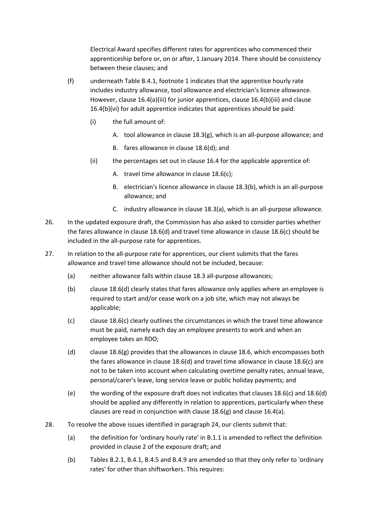Electrical Award specifies different rates for apprentices who commenced their apprenticeship before or, on or after, 1 January 2014. There should be consistency between these clauses; and

- (f) underneath Table B.4.1, footnote 1 indicates that the apprentice hourly rate includes industry allowance, tool allowance and electrician's licence allowance. However, clause 16.4(a)(iii) for junior apprentices, clause 16.4(b)(iii) and clause 16.4(b)(vi) for adult apprentice indicates that apprentices should be paid:
	- (i) the full amount of:
		- A. tool allowance in clause 18.3(g), which is an all-purpose allowance; and
		- B. fares allowance in clause 18.6(d); and
	- (ii) the percentages set out in clause 16.4 for the applicable apprentice of:
		- A. travel time allowance in clause 18.6(c);
		- B. electrician's licence allowance in clause 18.3(b), which is an all-purpose allowance; and
		- C. industry allowance in clause 18.3(a), which is an all-purpose allowance.
- 26. In the updated exposure draft, the Commission has also asked to consider parties whether the fares allowance in clause 18.6(d) and travel time allowance in clause 18.6(c) should be included in the all-purpose rate for apprentices.
- 27. In relation to the all-purpose rate for apprentices, our client submits that the fares allowance and travel time allowance should not be included, because:
	- (a) neither allowance falls within clause 18.3 all-purpose allowances;
	- (b) clause 18.6(d) clearly states that fares allowance only applies where an employee is required to start and/or cease work on a job site, which may not always be applicable;
	- (c) clause 18.6(c) clearly outlines the circumstances in which the travel time allowance must be paid, namely each day an employee presents to work and when an employee takes an RDO;
	- (d) clause 18.6(g) provides that the allowances in clause 18.6, which encompasses both the fares allowance in clause 18.6(d) and travel time allowance in clause 18.6(c) are not to be taken into account when calculating overtime penalty rates, annual leave, personal/carer's leave, long service leave or public holiday payments; and
	- (e) the wording of the exposure draft does not indicates that clauses 18.6(c) and 18.6(d) should be applied any differently in relation to apprentices, particularly when these clauses are read in conjunction with clause 18.6(g) and clause 16.4(a).
- 28. To resolve the above issues identified in paragraph 24, our clients submit that:
	- (a) the definition for 'ordinary hourly rate' in B.1.1 is amended to reflect the definition provided in clause 2 of the exposure draft; and
	- (b) Tables B.2.1, B.4.1, B.4.5 and B.4.9 are amended so that they only refer to 'ordinary rates' for other than shiftworkers. This requires: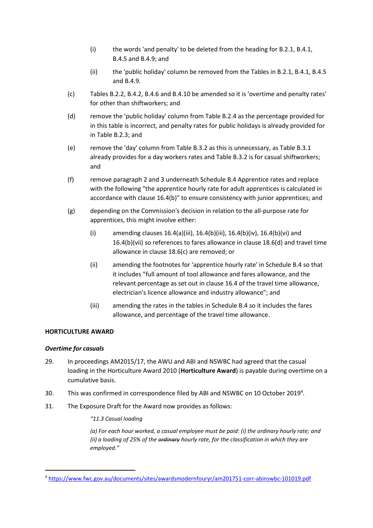- (i) the words 'and penalty' to be deleted from the heading for B.2.1, B.4.1, B.4.5 and B.4.9; and
- (ii) the 'public holiday' column be removed from the Tables in B.2.1, B.4.1, B.4.5 and B.4.9.
- (c) Tables B.2.2, B.4.2, B.4.6 and B.4.10 be amended so it is 'overtime and penalty rates' for other than shiftworkers; and
- (d) remove the 'public holiday' column from Table B.2.4 as the percentage provided for in this table is incorrect, and penalty rates for public holidays is already provided for in Table B.2.3; and
- (e) remove the 'day' column from Table B.3.2 as this is unnecessary, as Table B.3.1 already provides for a day workers rates and Table B.3.2 is for casual shiftworkers; and
- (f) remove paragraph 2 and 3 underneath Schedule B.4 Apprentice rates and replace with the following "the apprentice hourly rate for adult apprentices is calculated in accordance with clause 16.4(b)" to ensure consistency with junior apprentices; and
- (g) depending on the Commission's decision in relation to the all-purpose rate for apprentices, this might involve either:
	- (i) amending clauses 16.4(a)(iii), 16.4(b)(iii), 16.4(b)(iv), 16.4(b)(vi) and 16.4(b)(vii) so references to fares allowance in clause 18.6(d) and travel time allowance in clause 18.6(c) are removed; or
	- (ii) amending the footnotes for 'apprentice hourly rate' in Schedule B.4 so that it includes "full amount of tool allowance and fares allowance, and the relevant percentage as set out in clause 16.4 of the travel time allowance, electrician's licence allowance and industry allowance"; and
	- (iii) amending the rates in the tables in Schedule B.4 so it includes the fares allowance, and percentage of the travel time allowance.

# **HORTICULTURE AWARD**

# *Overtime for casuals*

-

- 29. In proceedings AM2015/17, the AWU and ABI and NSWBC had agreed that the casual loading in the Horticulture Award 2010 (**Horticulture Award**) is payable during overtime on a cumulative basis.
- 30. This was confirmed in correspondence filed by ABI and NSWBC on 10 October 2019<sup>4</sup>.
- 31. The Exposure Draft for the Award now provides as follows:

# *"11.3 Casual loading*

*(a) For each hour worked, a casual employee must be paid: (i) the ordinary hourly rate; and (ii) a loading of 25% of the ordinary hourly rate, for the classification in which they are employed."*

<sup>4</sup> <https://www.fwc.gov.au/documents/sites/awardsmodernfouryr/am201751-corr-abinswbc-101019.pdf>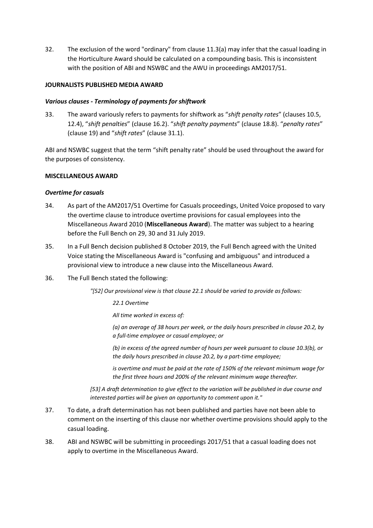32. The exclusion of the word "ordinary" from clause 11.3(a) may infer that the casual loading in the Horticulture Award should be calculated on a compounding basis. This is inconsistent with the position of ABI and NSWBC and the AWU in proceedings AM2017/51.

# **JOURNALISTS PUBLISHED MEDIA AWARD**

# *Various clauses - Terminology of payments for shiftwork*

33. The award variously refers to payments for shiftwork as "*shift penalty rates*" (clauses 10.5, 12.4), "*shift penalties*" (clause 16.2). "*shift penalty payments*" (clause 18.8). "*penalty rates*" (clause 19) and "*shift rates*" (clause 31.1).

ABI and NSWBC suggest that the term "shift penalty rate" should be used throughout the award for the purposes of consistency.

# **MISCELLANEOUS AWARD**

# *Overtime for casuals*

- 34. As part of the AM2017/51 Overtime for Casuals proceedings, United Voice proposed to vary the overtime clause to introduce overtime provisions for casual employees into the Miscellaneous Award 2010 (**Miscellaneous Award**). The matter was subject to a hearing before the Full Bench on 29, 30 and 31 July 2019.
- 35. In a Full Bench decision published 8 October 2019, the Full Bench agreed with the United Voice stating the Miscellaneous Award is "confusing and ambiguous" and introduced a provisional view to introduce a new clause into the Miscellaneous Award.
- 36. The Full Bench stated the following:

*"[52] Our provisional view is that clause 22.1 should be varied to provide as follows:*

*22.1 Overtime*

*All time worked in excess of:*

*(a) an average of 38 hours per week, or the daily hours prescribed in clause 20.2, by a full-time employee or casual employee; or*

*(b) in excess of the agreed number of hours per week pursuant to clause 10.3(b), or the daily hours prescribed in clause 20.2, by a part-time employee;*

*is overtime and must be paid at the rate of 150% of the relevant minimum wage for the first three hours and 200% of the relevant minimum wage thereafter.*

*[53] A draft determination to give effect to the variation will be published in due course and interested parties will be given an opportunity to comment upon it."*

- 37. To date, a draft determination has not been published and parties have not been able to comment on the inserting of this clause nor whether overtime provisions should apply to the casual loading.
- 38. ABI and NSWBC will be submitting in proceedings 2017/51 that a casual loading does not apply to overtime in the Miscellaneous Award.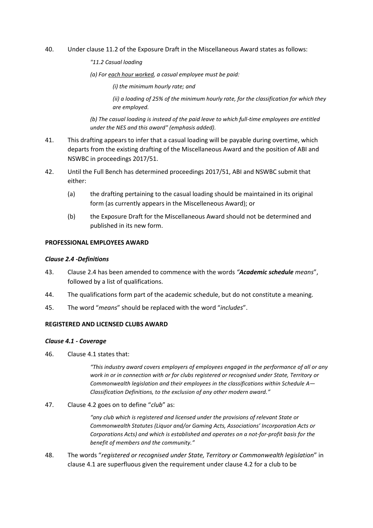- 40. Under clause 11.2 of the Exposure Draft in the Miscellaneous Award states as follows:
	- *"11.2 Casual loading*

*(a) For each hour worked, a casual employee must be paid:* 

*(i) the minimum hourly rate; and*

*(ii) a loading of 25% of the minimum hourly rate, for the classification for which they are employed.*

*(b) The casual loading is instead of the paid leave to which full-time employees are entitled under the NES and this award" (emphasis added).*

- 41. This drafting appears to infer that a casual loading will be payable during overtime, which departs from the existing drafting of the Miscellaneous Award and the position of ABI and NSWBC in proceedings 2017/51.
- 42. Until the Full Bench has determined proceedings 2017/51, ABI and NSWBC submit that either:
	- (a) the drafting pertaining to the casual loading should be maintained in its original form (as currently appears in the Miscelleneous Award); or
	- (b) the Exposure Draft for the Miscellaneous Award should not be determined and published in its new form.

# **PROFESSIONAL EMPLOYEES AWARD**

#### *Clause 2.4 -Definitions*

- 43. Clause 2.4 has been amended to commence with the words *"Academic schedule means*", followed by a list of qualifications.
- 44. The qualifications form part of the academic schedule, but do not constitute a meaning.
- 45. The word "*means*" should be replaced with the word "*includes*".

#### **REGISTERED AND LICENSED CLUBS AWARD**

#### *Clause 4.1 - Coverage*

46. Clause 4.1 states that:

*"This industry award covers employers of employees engaged in the performance of all or any work in or in connection with or for clubs registered or recognised under State, Territory or Commonwealth legislation and their employees in the classifications within Schedule A— Classification Definitions, to the exclusion of any other modern award."*

47. Clause 4.2 goes on to define "*club*" as:

*"any club which is registered and licensed under the provisions of relevant State or Commonwealth Statutes (Liquor and/or Gaming Acts, Associations' Incorporation Acts or Corporations Acts) and which is established and operates on a not-for-profit basis for the benefit of members and the community."*

48. The words "*registered or recognised under State, Territory or Commonwealth legislation*" in clause 4.1 are superfluous given the requirement under clause 4.2 for a club to be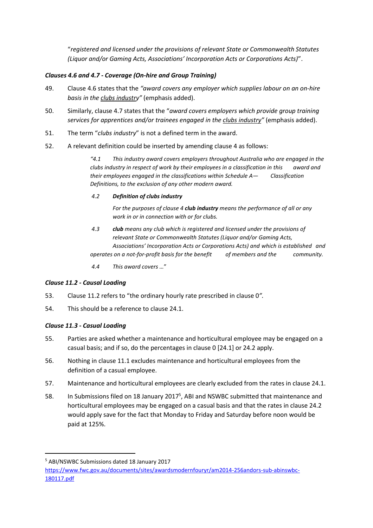"*registered and licensed under the provisions of relevant State or Commonwealth Statutes (Liquor and/or Gaming Acts, Associations' Incorporation Acts or Corporations Acts)*".

# *Clauses 4.6 and 4.7 - Coverage (On-hire and Group Training)*

- 49. Clause 4.6 states that the *"award covers any employer which supplies labour on an on-hire basis in the clubs industry"* (emphasis added).
- 50. Similarly, clause 4.7 states that the "*award covers employers which provide group training services for apprentices and/or trainees engaged in the clubs industry"* (emphasis added).
- 51. The term "*clubs industry*" is not a defined term in the award.
- 52. A relevant definition could be inserted by amending clause 4 as follows:

*"4.1 This industry award covers employers throughout Australia who are engaged in the clubs industry in respect of work by their employees in a classification in this award and their employees engaged in the classifications within Schedule A— Classification Definitions, to the exclusion of any other modern award.*

*4.2 Definition of clubs industry*

*For the purposes of clause 4 club industry means the performance of all or any work in or in connection with or for clubs.*

- *4.3 club means any club which is registered and licensed under the provisions of relevant State or Commonwealth Statutes (Liquor and/or Gaming Acts, Associations' Incorporation Acts or Corporations Acts) and which is established and operates on a not-for-profit basis for the benefit of members and the community.*
- *4.4 This award covers …*"

# *Clause 11.2 - Causal Loading*

- 53. Clause 11.2 refers to "the ordinary hourly rate prescribed in clause 0*".*
- 54. This should be a reference to clause 24.1.

# *Clause 11.3 - Casual Loading*

- 55. Parties are asked whether a maintenance and horticultural employee may be engaged on a casual basis; and if so, do the percentages in clause 0 [24.1] or 24.2 apply.
- 56. Nothing in clause 11.1 excludes maintenance and horticultural employees from the definition of a casual employee.
- 57. Maintenance and horticultural employees are clearly excluded from the rates in clause 24.1.
- 58. In Submissions filed on 18 January 2017<sup>5</sup>, ABI and NSWBC submitted that maintenance and horticultural employees may be engaged on a casual basis and that the rates in clause 24.2 would apply save for the fact that Monday to Friday and Saturday before noon would be paid at 125%.

**.** 

<sup>5</sup> ABI/NSWBC Submissions dated 18 January 2017

[https://www.fwc.gov.au/documents/sites/awardsmodernfouryr/am2014-256andors-sub-abinswbc-](https://www.fwc.gov.au/documents/sites/awardsmodernfouryr/am2014-256andors-sub-abinswbc-180117.pdf)[180117.pdf](https://www.fwc.gov.au/documents/sites/awardsmodernfouryr/am2014-256andors-sub-abinswbc-180117.pdf)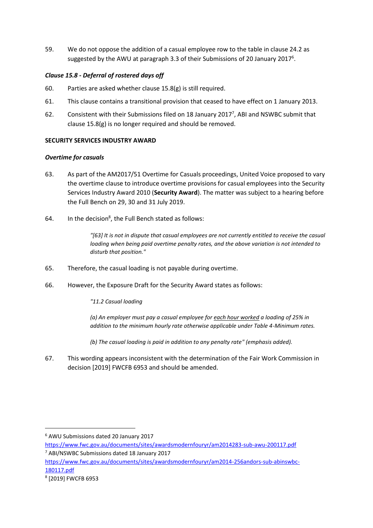59. We do not oppose the addition of a casual employee row to the table in clause 24.2 as suggested by the AWU at paragraph 3.3 of their Submissions of 20 January 2017<sup>6</sup>.

# *Clause 15.8 - Deferral of rostered days off*

- 60. Parties are asked whether clause 15.8(g) is still required.
- 61. This clause contains a transitional provision that ceased to have effect on 1 January 2013.
- 62. Consistent with their Submissions filed on 18 January 2017<sup>7</sup>, ABI and NSWBC submit that clause 15.8(g) is no longer required and should be removed.

# **SECURITY SERVICES INDUSTRY AWARD**

# *Overtime for casuals*

- 63. As part of the AM2017/51 Overtime for Casuals proceedings, United Voice proposed to vary the overtime clause to introduce overtime provisions for casual employees into the Security Services Industry Award 2010 (**Security Award**). The matter was subject to a hearing before the Full Bench on 29, 30 and 31 July 2019.
- 64. In the decision<sup>8</sup>, the Full Bench stated as follows:

*"[63] It is not in dispute that casual employees are not currently entitled to receive the casual loading when being paid overtime penalty rates, and the above variation is not intended to disturb that position."*

- 65. Therefore, the casual loading is not payable during overtime.
- 66. However, the Exposure Draft for the Security Award states as follows:

*"11.2 Casual loading*

*(a) An employer must pay a casual employee for each hour worked a loading of 25% in addition to the minimum hourly rate otherwise applicable under Table 4-Minimum rates.*

*(b) The casual loading is paid in addition to any penalty rate" (emphasis added).*

67. This wording appears inconsistent with the determination of the Fair Work Commission in decision [2019] FWCFB 6953 and should be amended.

-

<sup>6</sup> AWU Submissions dated 20 January 2017

<https://www.fwc.gov.au/documents/sites/awardsmodernfouryr/am2014283-sub-awu-200117.pdf> <sup>7</sup> ABI/NSWBC Submissions dated 18 January 2017

[https://www.fwc.gov.au/documents/sites/awardsmodernfouryr/am2014-256andors-sub-abinswbc-](https://www.fwc.gov.au/documents/sites/awardsmodernfouryr/am2014-256andors-sub-abinswbc-180117.pdf)[180117.pdf](https://www.fwc.gov.au/documents/sites/awardsmodernfouryr/am2014-256andors-sub-abinswbc-180117.pdf)

<sup>8</sup> [2019] FWCFB 6953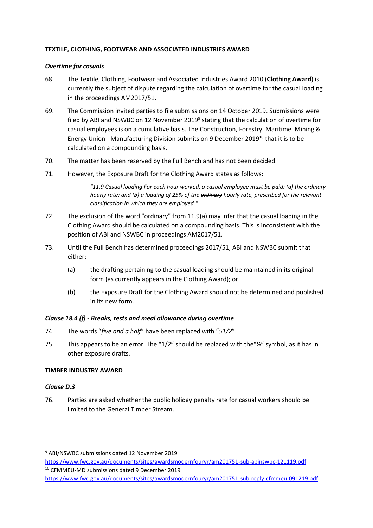# **TEXTILE, CLOTHING, FOOTWEAR AND ASSOCIATED INDUSTRIES AWARD**

# *Overtime for casuals*

- 68. The Textile, Clothing, Footwear and Associated Industries Award 2010 (**Clothing Award**) is currently the subject of dispute regarding the calculation of overtime for the casual loading in the proceedings AM2017/51.
- 69. The Commission invited parties to file submissions on 14 October 2019. Submissions were filed by ABI and NSWBC on 12 November 2019<sup>9</sup> stating that the calculation of overtime for casual employees is on a cumulative basis. The Construction, Forestry, Maritime, Mining & Energy Union - Manufacturing Division submits on 9 December 2019 <sup>10</sup> that it is to be calculated on a compounding basis.
- 70. The matter has been reserved by the Full Bench and has not been decided.
- 71. However, the Exposure Draft for the Clothing Award states as follows:

*"11.9 Casual loading For each hour worked, a casual employee must be paid: (a) the ordinary hourly rate; and (b) a loading of 25% of the ordinary hourly rate, prescribed for the relevant classification in which they are employed."*

- 72. The exclusion of the word "ordinary" from 11.9(a) may infer that the casual loading in the Clothing Award should be calculated on a compounding basis. This is inconsistent with the position of ABI and NSWBC in proceedings AM2017/51.
- 73. Until the Full Bench has determined proceedings 2017/51, ABI and NSWBC submit that either:
	- (a) the drafting pertaining to the casual loading should be maintained in its original form (as currently appears in the Clothing Award); or
	- (b) the Exposure Draft for the Clothing Award should not be determined and published in its new form.

# *Clause 18.4 (f) - Breaks, rests and meal allowance during overtime*

- 74. The words "*five and a half*" have been replaced with "*51/2*".
- 75. This appears to be an error. The " $1/2$ " should be replaced with the " $\frac{1}{2}$ " symbol, as it has in other exposure drafts.

# **TIMBER INDUSTRY AWARD**

# *Clause D.3*

1

76. Parties are asked whether the public holiday penalty rate for casual workers should be limited to the General Timber Stream.

<sup>9</sup> ABI/NSWBC submissions dated 12 November 2019

<https://www.fwc.gov.au/documents/sites/awardsmodernfouryr/am201751-sub-abinswbc-121119.pdf> <sup>10</sup> CFMMEU-MD submissions dated 9 December 2019

<https://www.fwc.gov.au/documents/sites/awardsmodernfouryr/am201751-sub-reply-cfmmeu-091219.pdf>